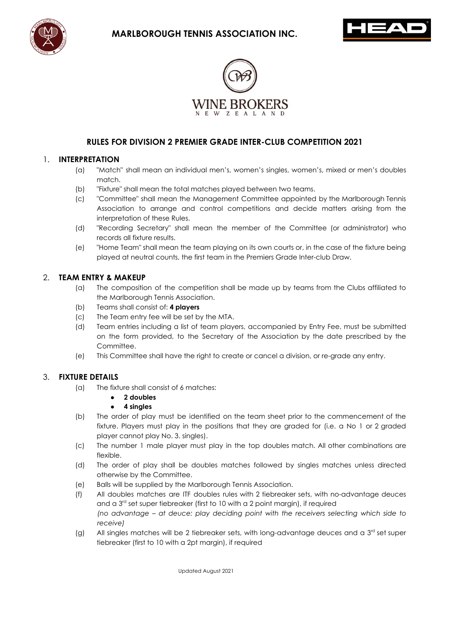





# **RULES FOR DIVISION 2 PREMIER GRADE INTER-CLUB COMPETITION 2021**

#### 1. **INTERPRETATION**

- (a) "Match" shall mean an individual men's, women's singles, women's, mixed or men's doubles match.
- (b) "Fixture" shall mean the total matches played between two teams.
- (c) "Committee" shall mean the Management Committee appointed by the Marlborough Tennis Association to arrange and control competitions and decide matters arising from the interpretation of these Rules.
- (d) "Recording Secretary" shall mean the member of the Committee (or administrator) who records all fixture results.
- (e) "Home Team" shall mean the team playing on its own courts or, in the case of the fixture being played at neutral counts, the first team in the Premiers Grade Inter-club Draw.

#### 2. **TEAM ENTRY & MAKEUP**

- (a) The composition of the competition shall be made up by teams from the Clubs affiliated to the Marlborough Tennis Association.
- (b) Teams shall consist of: **4 players**
- (c) The Team entry fee will be set by the MTA.
- (d) Team entries including a list of team players, accompanied by Entry Fee, must be submitted on the form provided, to the Secretary of the Association by the date prescribed by the Committee.
- (e) This Committee shall have the right to create or cancel a division, or re-grade any entry.

## 3. **FIXTURE DETAILS**

- (a) The fixture shall consist of 6 matches:
	- **2 doubles**
	- **4 singles**
- (b) The order of play must be identified on the team sheet prior to the commencement of the fixture. Players must play in the positions that they are graded for (i.e. a No 1 or 2 graded player cannot play No. 3. singles).
- (c) The number 1 male player must play in the top doubles match. All other combinations are flexible.
- (d) The order of play shall be doubles matches followed by singles matches unless directed otherwise by the Committee.
- (e) Balls will be supplied by the Marlborough Tennis Association.
- (f) All doubles matches are ITF doubles rules with 2 tiebreaker sets, with no-advantage deuces and a  $3<sup>rd</sup>$  set super tiebreaker (first to 10 with a 2 point margin), if required *(no advantage – at deuce: play deciding point with the receivers selecting which side to receive)*
- (g) All singles matches will be 2 tiebreaker sets, with long-advantage deuces and a  $3<sup>rd</sup>$  set super tiebreaker (first to 10 with a 2pt margin), if required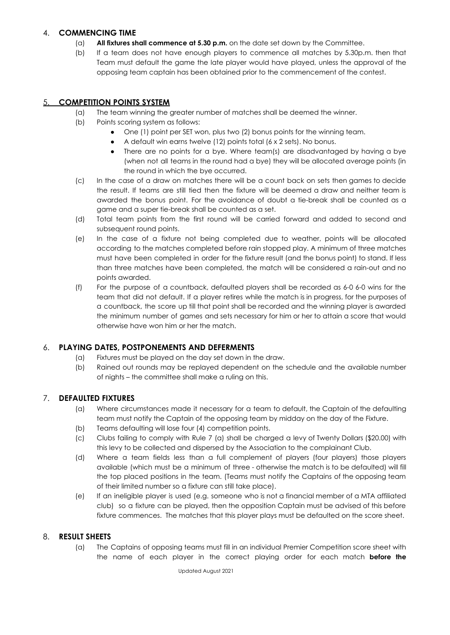#### 4. **COMMENCING TIME**

- (a) **All fixtures shall commence at 5.30 p.m.** on the date set down by the Committee.
- (b) If a team does not have enough players to commence all matches by 5.30p.m. then that Team must default the game the late player would have played, unless the approval of the opposing team captain has been obtained prior to the commencement of the contest.

# 5. **COMPETITION POINTS SYSTEM**

- (a) The team winning the greater number of matches shall be deemed the winner.
- (b) Points scoring system as follows:
	- One (1) point per SET won, plus two (2) bonus points for the winning team.
	- A default win earns twelve (12) points total (6 x 2 sets). No bonus.
	- There are no points for a bye. Where team(s) are disadvantaged by having a bye (when not all teams in the round had a bye) they will be allocated average points (in the round in which the bye occurred.
- (c) In the case of a draw on matches there will be a count back on sets then games to decide the result. If teams are still tied then the fixture will be deemed a draw and neither team is awarded the bonus point. For the avoidance of doubt a tie-break shall be counted as a game and a super tie-break shall be counted as a set.
- (d) Total team points from the first round will be carried forward and added to second and subsequent round points.
- (e) In the case of a fixture not being completed due to weather, points will be allocated according to the matches completed before rain stopped play. A minimum of three matches must have been completed in order for the fixture result (and the bonus point) to stand. If less than three matches have been completed, the match will be considered a rain-out and no points awarded.
- (f) For the purpose of a countback, defaulted players shall be recorded as 6-0 6-0 wins for the team that did not default. If a player retires while the match is in progress, for the purposes of a countback, the score up till that point shall be recorded and the winning player is awarded the minimum number of games and sets necessary for him or her to attain a score that would otherwise have won him or her the match.

## 6. **PLAYING DATES, POSTPONEMENTS AND DEFERMENTS**

- (a) Fixtures must be played on the day set down in the draw.
- (b) Rained out rounds may be replayed dependent on the schedule and the available number of nights – the committee shall make a ruling on this.

## 7. **DEFAULTED FIXTURES**

- (a) Where circumstances made it necessary for a team to default, the Captain of the defaulting team must notify the Captain of the opposing team by midday on the day of the Fixture.
- (b) Teams defaulting will lose four (4) competition points.
- (c) Clubs failing to comply with Rule 7 (a) shall be charged a levy of Twenty Dollars (\$20.00) with this levy to be collected and dispersed by the Association to the complainant Club.
- (d) Where a team fields less than a full complement of players (four players) those players available (which must be a minimum of three - otherwise the match is to be defaulted) will fill the top placed positions in the team. (Teams must notify the Captains of the opposing team of their limited number so a fixture can still take place).
- (e) If an ineligible player is used (e.g. someone who is not a financial member of a MTA affiliated club) so a fixture can be played, then the opposition Captain must be advised of this before fixture commences. The matches that this player plays must be defaulted on the score sheet.

## 8. **RESULT SHEETS**

(a) The Captains of opposing teams must fill in an individual Premier Competition score sheet with the name of each player in the correct playing order for each match **before the**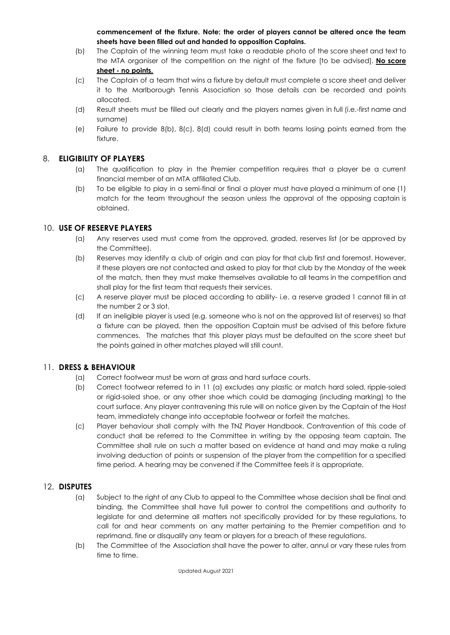**commencement of the fixture. Note: the order of players cannot be altered once the team sheets have been filled out and handed to opposition Captains.**

- (b) The Captain of the winning team must take a readable photo of the score sheet and text to the MTA organiser of the competition on the night of the fixture [to be advised]. **No score sheet - no points.**
- (c) The Captain of a team that wins a fixture by default must complete a score sheet and deliver it to the Marlborough Tennis Association so those details can be recorded and points allocated.
- (d) Result sheets must be filled out clearly and the players names given in full (i.e.-first name and surname)
- (e) Failure to provide 8(b), 8(c), 8(d) could result in both teams losing points earned from the fixture.

# 8. **ELIGIBILITY OF PLAYERS**

- (a) The qualification to play in the Premier competition requires that a player be a current financial member of an MTA affiliated Club.
- (b) To be eligible to play in a semi-final or final a player must have played a minimum of one (1) match for the team throughout the season unless the approval of the opposing captain is obtained.

## 10. **USE OF RESERVE PLAYERS**

- (a) Any reserves used must come from the approved, graded, reserves list (or be approved by the Committee).
- (b) Reserves may identify a club of origin and can play for that club first and foremost. However, if these players are not contacted and asked to play for that club by the Monday of the week of the match, then they must make themselves available to all teams in the competition and shall play for the first team that requests their services.
- (c) A reserve player must be placed according to ability- i.e. a reserve graded 1 cannot fill in at the number 2 or 3 slot.
- (d) If an ineligible player is used (e.g. someone who is not on the approved list of reserves) so that a fixture can be played, then the opposition Captain must be advised of this before fixture commences. The matches that this player plays must be defaulted on the score sheet but the points gained in other matches played will still count.

## 11. **DRESS & BEHAVIOUR**

- (a) Correct footwear must be worn at grass and hard surface courts.
- (b) Correct footwear referred to in 11 (a) excludes any plastic or match hard soled, ripple-soled or rigid-soled shoe, or any other shoe which could be damaging (including marking) to the court surface. Any player contravening this rule will on notice given by the Captain of the Host team, immediately change into acceptable footwear or forfeit the matches.
- (c) Player behaviour shall comply with the TNZ Player Handbook. Contravention of this code of conduct shall be referred to the Committee in writing by the opposing team captain. The Committee shall rule on such a matter based on evidence at hand and may make a ruling involving deduction of points or suspension of the player from the competition for a specified time period. A hearing may be convened if the Committee feels it is appropriate.

# 12. **DISPUTES**

- (a) Subject to the right of any Club to appeal to the Committee whose decision shall be final and binding, the Committee shall have full power to control the competitions and authority to legislate for and determine all matters not specifically provided for by these regulations, to call for and hear comments on any matter pertaining to the Premier competition and to reprimand, fine or disqualify any team or players for a breach of these regulations.
- (b) The Committee of the Association shall have the power to alter, annul or vary these rules from time to time.